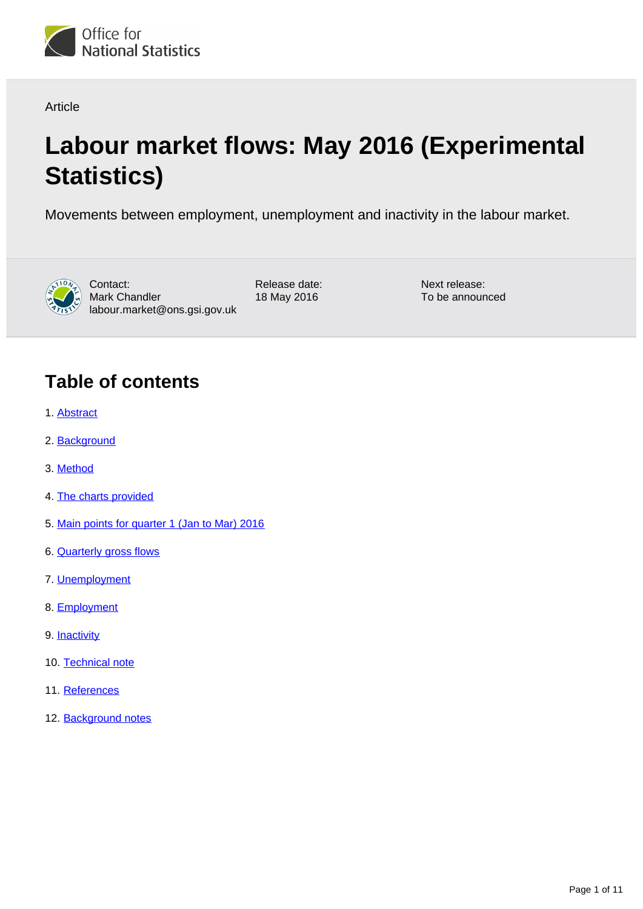

Article

# **Labour market flows: May 2016 (Experimental Statistics)**

Movements between employment, unemployment and inactivity in the labour market.



Contact: Mark Chandler labour.market@ons.gsi.gov.uk

Release date: 18 May 2016

Next release: To be announced

### **Table of contents**

- 1. [Abstract](#page-1-0)
- 2. [Background](#page-1-1)
- 3. [Method](#page-1-2)
- 4. [The charts provided](#page-1-3)
- 5. [Main points for quarter 1 \(Jan to Mar\) 2016](#page-2-0)
- 6. [Quarterly gross flows](#page-2-1)
- 7. [Unemployment](#page-2-2)
- 8. [Employment](#page-4-0)
- 9. [Inactivity](#page-7-0)
- 10. [Technical note](#page-9-0)
- 11. [References](#page-10-0)
- 12. [Background notes](#page-10-1)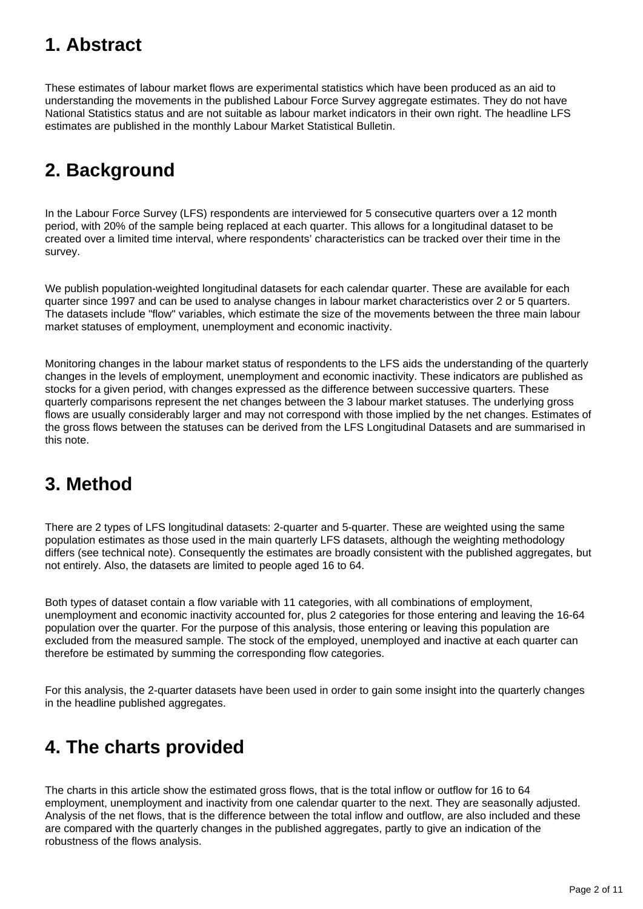# <span id="page-1-0"></span>**1. Abstract**

These estimates of labour market flows are experimental statistics which have been produced as an aid to understanding the movements in the published Labour Force Survey aggregate estimates. They do not have National Statistics status and are not suitable as labour market indicators in their own right. The headline LFS estimates are published in the monthly Labour Market Statistical Bulletin.

# <span id="page-1-1"></span>**2. Background**

In the Labour Force Survey (LFS) respondents are interviewed for 5 consecutive quarters over a 12 month period, with 20% of the sample being replaced at each quarter. This allows for a longitudinal dataset to be created over a limited time interval, where respondents' characteristics can be tracked over their time in the survey.

We publish population-weighted longitudinal datasets for each calendar quarter. These are available for each quarter since 1997 and can be used to analyse changes in labour market characteristics over 2 or 5 quarters. The datasets include "flow" variables, which estimate the size of the movements between the three main labour market statuses of employment, unemployment and economic inactivity.

Monitoring changes in the labour market status of respondents to the LFS aids the understanding of the quarterly changes in the levels of employment, unemployment and economic inactivity. These indicators are published as stocks for a given period, with changes expressed as the difference between successive quarters. These quarterly comparisons represent the net changes between the 3 labour market statuses. The underlying gross flows are usually considerably larger and may not correspond with those implied by the net changes. Estimates of the gross flows between the statuses can be derived from the LFS Longitudinal Datasets and are summarised in this note.

# <span id="page-1-2"></span>**3. Method**

There are 2 types of LFS longitudinal datasets: 2-quarter and 5-quarter. These are weighted using the same population estimates as those used in the main quarterly LFS datasets, although the weighting methodology differs (see technical note). Consequently the estimates are broadly consistent with the published aggregates, but not entirely. Also, the datasets are limited to people aged 16 to 64.

Both types of dataset contain a flow variable with 11 categories, with all combinations of employment, unemployment and economic inactivity accounted for, plus 2 categories for those entering and leaving the 16-64 population over the quarter. For the purpose of this analysis, those entering or leaving this population are excluded from the measured sample. The stock of the employed, unemployed and inactive at each quarter can therefore be estimated by summing the corresponding flow categories.

For this analysis, the 2-quarter datasets have been used in order to gain some insight into the quarterly changes in the headline published aggregates.

# <span id="page-1-3"></span>**4. The charts provided**

The charts in this article show the estimated gross flows, that is the total inflow or outflow for 16 to 64 employment, unemployment and inactivity from one calendar quarter to the next. They are seasonally adjusted. Analysis of the net flows, that is the difference between the total inflow and outflow, are also included and these are compared with the quarterly changes in the published aggregates, partly to give an indication of the robustness of the flows analysis.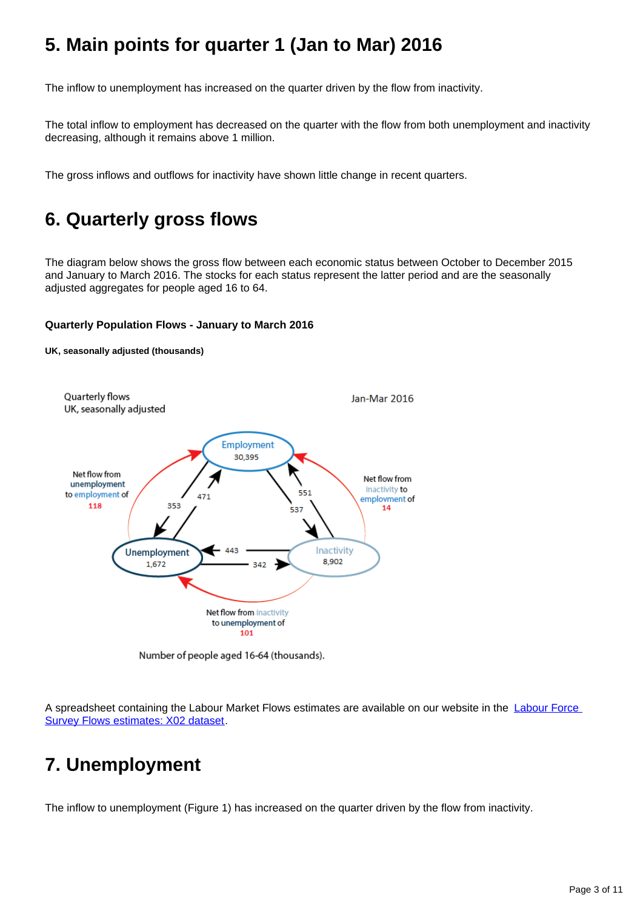# <span id="page-2-0"></span>**5. Main points for quarter 1 (Jan to Mar) 2016**

The inflow to unemployment has increased on the quarter driven by the flow from inactivity.

The total inflow to employment has decreased on the quarter with the flow from both unemployment and inactivity decreasing, although it remains above 1 million.

The gross inflows and outflows for inactivity have shown little change in recent quarters.

### <span id="page-2-1"></span>**6. Quarterly gross flows**

**UK, seasonally adjusted (thousands)**

The diagram below shows the gross flow between each economic status between October to December 2015 and January to March 2016. The stocks for each status represent the latter period and are the seasonally adjusted aggregates for people aged 16 to 64.

### **Quarterly Population Flows - January to March 2016**



Number of people aged 16-64 (thousands).

A spreadsheet containing the Labour Market Flows estimates are available on our website in the [Labour Force](http://www.ons.gov.uk/employmentandlabourmarket/peopleinwork/employmentandemployeetypes/datasets/labourforcesurveyflowsestimatesx02)  [Survey Flows estimates: X02 dataset](http://www.ons.gov.uk/employmentandlabourmarket/peopleinwork/employmentandemployeetypes/datasets/labourforcesurveyflowsestimatesx02).

### <span id="page-2-2"></span>**7. Unemployment**

The inflow to unemployment (Figure 1) has increased on the quarter driven by the flow from inactivity.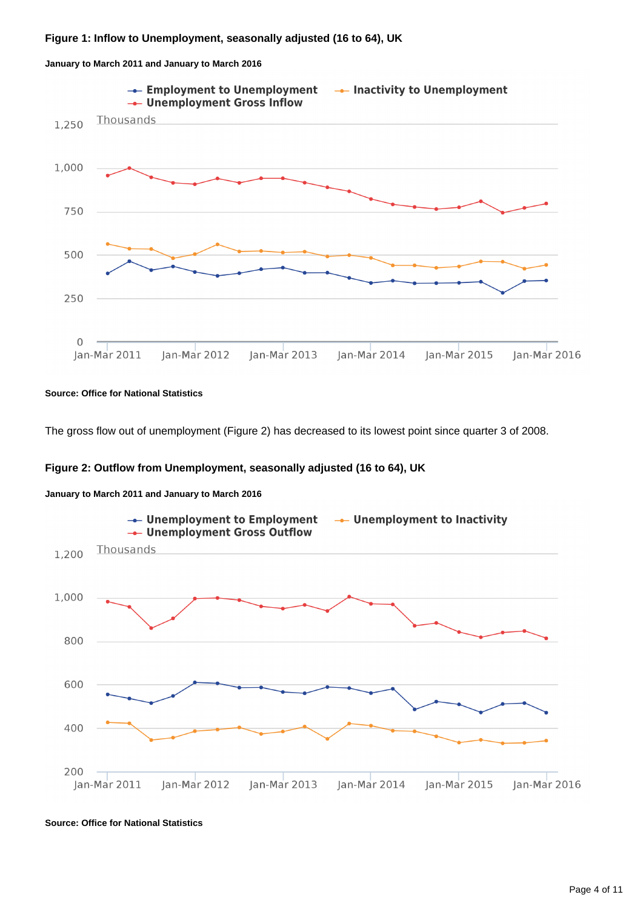



#### **Source: Office for National Statistics**

The gross flow out of unemployment (Figure 2) has decreased to its lowest point since quarter 3 of 2008.

### **Figure 2: Outflow from Unemployment, seasonally adjusted (16 to 64), UK**





**Source: Office for National Statistics**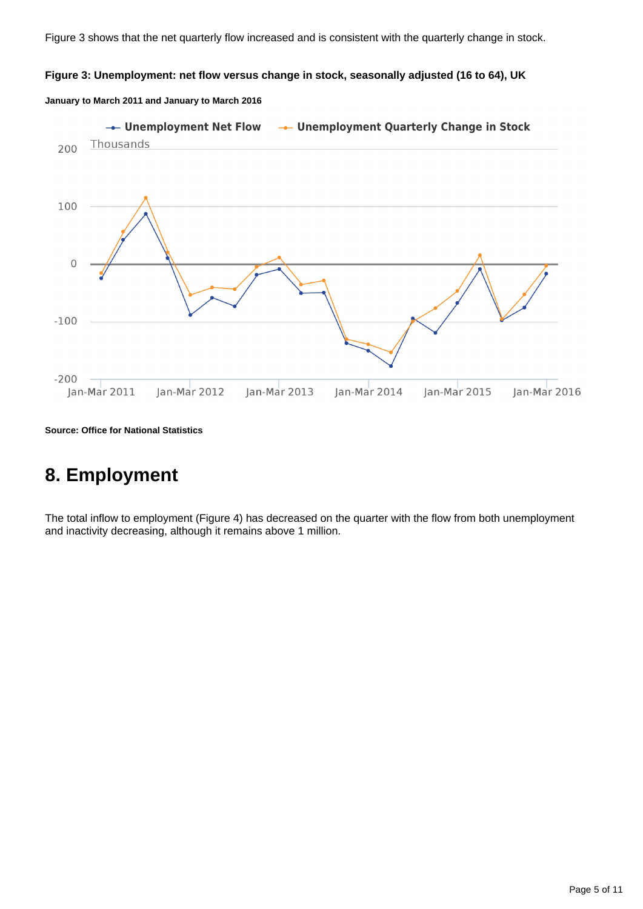### **Figure 3: Unemployment: net flow versus change in stock, seasonally adjusted (16 to 64), UK**

### **January to March 2011 and January to March 2016**



**Source: Office for National Statistics**

### <span id="page-4-0"></span>**8. Employment**

The total inflow to employment (Figure 4) has decreased on the quarter with the flow from both unemployment and inactivity decreasing, although it remains above 1 million.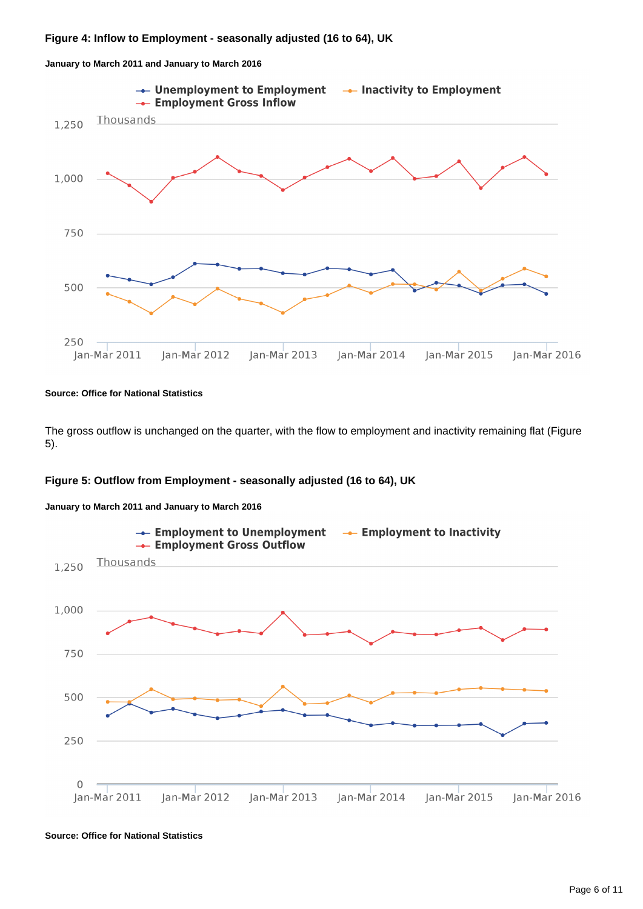



#### **Source: Office for National Statistics**

The gross outflow is unchanged on the quarter, with the flow to employment and inactivity remaining flat (Figure 5).

### **Figure 5: Outflow from Employment - seasonally adjusted (16 to 64), UK**



**January to March 2011 and January to March 2016**

**Source: Office for National Statistics**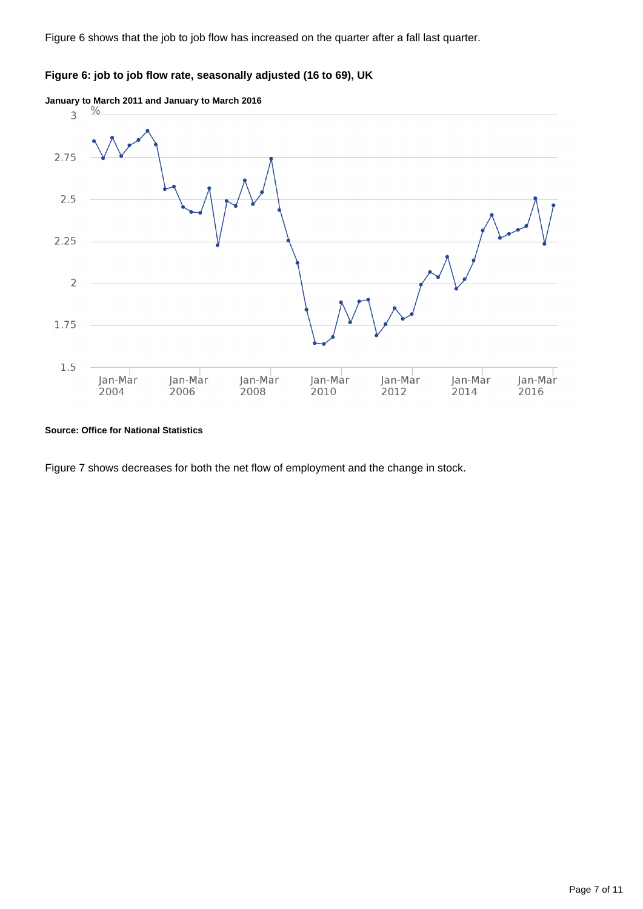Figure 6 shows that the job to job flow has increased on the quarter after a fall last quarter.

### **Figure 6: job to job flow rate, seasonally adjusted (16 to 69), UK**



#### **Source: Office for National Statistics**

Figure 7 shows decreases for both the net flow of employment and the change in stock.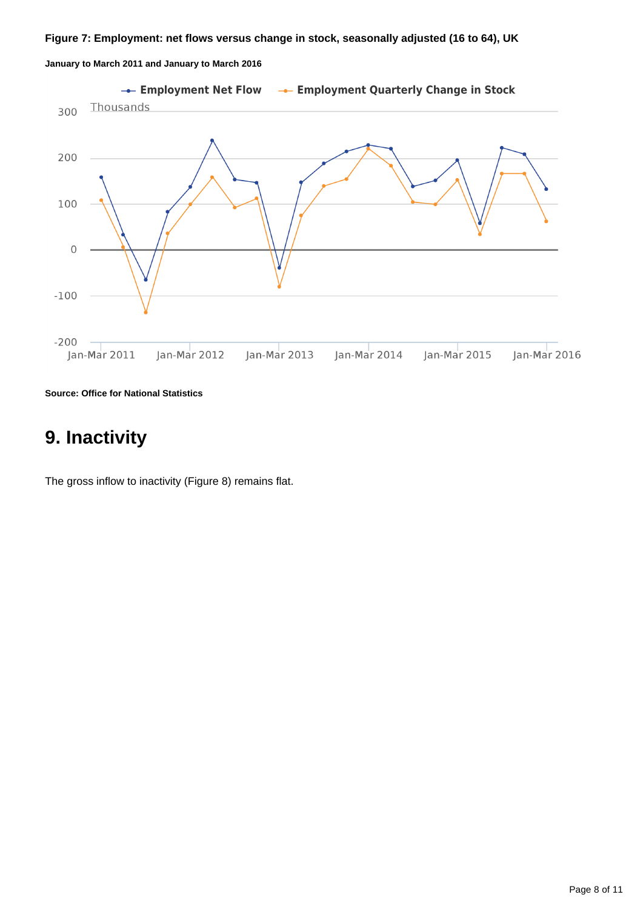### **Figure 7: Employment: net flows versus change in stock, seasonally adjusted (16 to 64), UK**

**January to March 2011 and January to March 2016**



**Source: Office for National Statistics**

## <span id="page-7-0"></span>**9. Inactivity**

The gross inflow to inactivity (Figure 8) remains flat.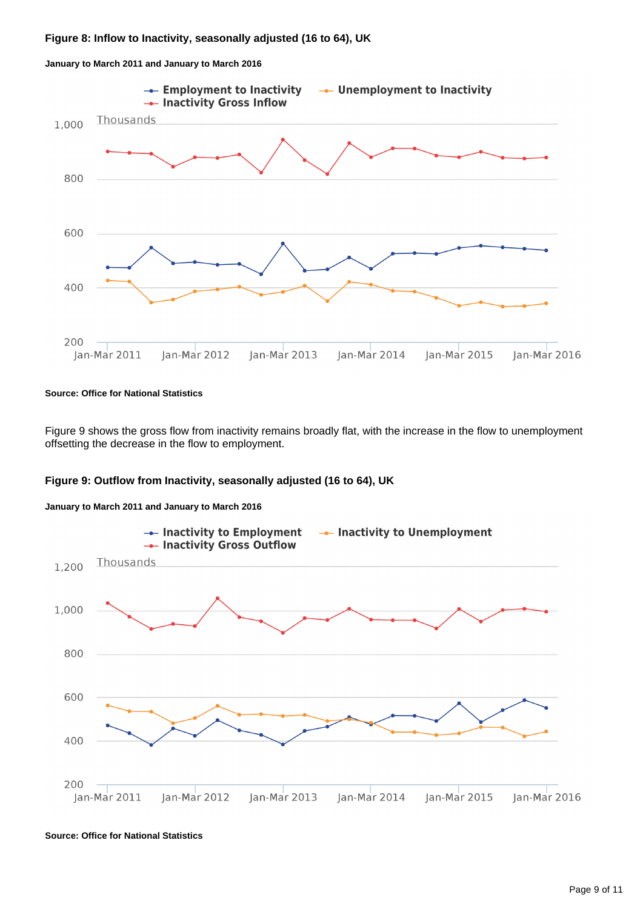

**January to March 2011 and January to March 2016**

#### **Source: Office for National Statistics**

Figure 9 shows the gross flow from inactivity remains broadly flat, with the increase in the flow to unemployment offsetting the decrease in the flow to employment.





**January to March 2011 and January to March 2016**

**Source: Office for National Statistics**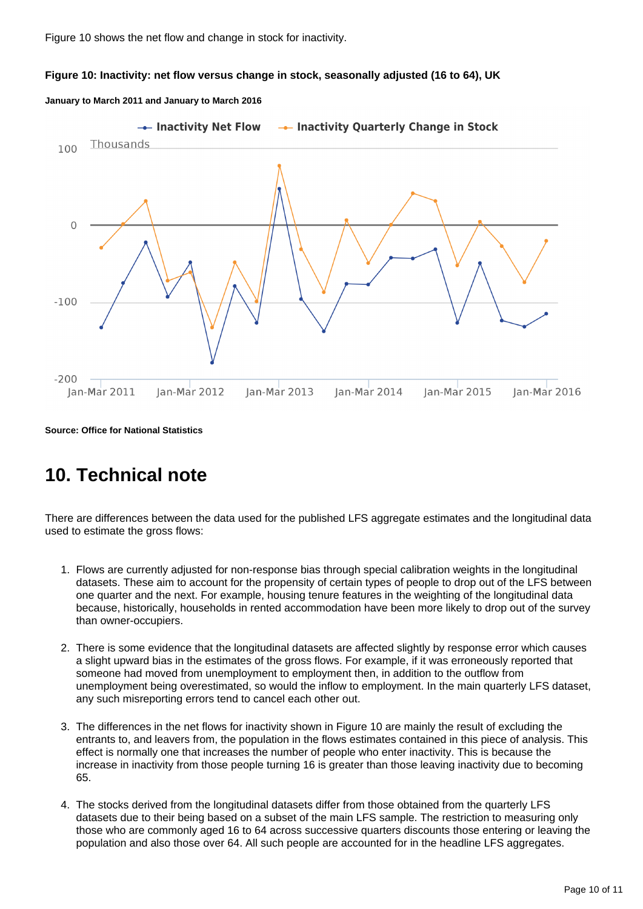Figure 10 shows the net flow and change in stock for inactivity.

### **Figure 10: Inactivity: net flow versus change in stock, seasonally adjusted (16 to 64), UK**

#### **January to March 2011 and January to March 2016**



**Source: Office for National Statistics**

### <span id="page-9-0"></span>**10. Technical note**

There are differences between the data used for the published LFS aggregate estimates and the longitudinal data used to estimate the gross flows:

- 1. Flows are currently adjusted for non-response bias through special calibration weights in the longitudinal datasets. These aim to account for the propensity of certain types of people to drop out of the LFS between one quarter and the next. For example, housing tenure features in the weighting of the longitudinal data because, historically, households in rented accommodation have been more likely to drop out of the survey than owner-occupiers.
- 2. There is some evidence that the longitudinal datasets are affected slightly by response error which causes a slight upward bias in the estimates of the gross flows. For example, if it was erroneously reported that someone had moved from unemployment to employment then, in addition to the outflow from unemployment being overestimated, so would the inflow to employment. In the main quarterly LFS dataset, any such misreporting errors tend to cancel each other out.
- 3. The differences in the net flows for inactivity shown in Figure 10 are mainly the result of excluding the entrants to, and leavers from, the population in the flows estimates contained in this piece of analysis. This effect is normally one that increases the number of people who enter inactivity. This is because the increase in inactivity from those people turning 16 is greater than those leaving inactivity due to becoming 65.
- 4. The stocks derived from the longitudinal datasets differ from those obtained from the quarterly LFS datasets due to their being based on a subset of the main LFS sample. The restriction to measuring only those who are commonly aged 16 to 64 across successive quarters discounts those entering or leaving the population and also those over 64. All such people are accounted for in the headline LFS aggregates.